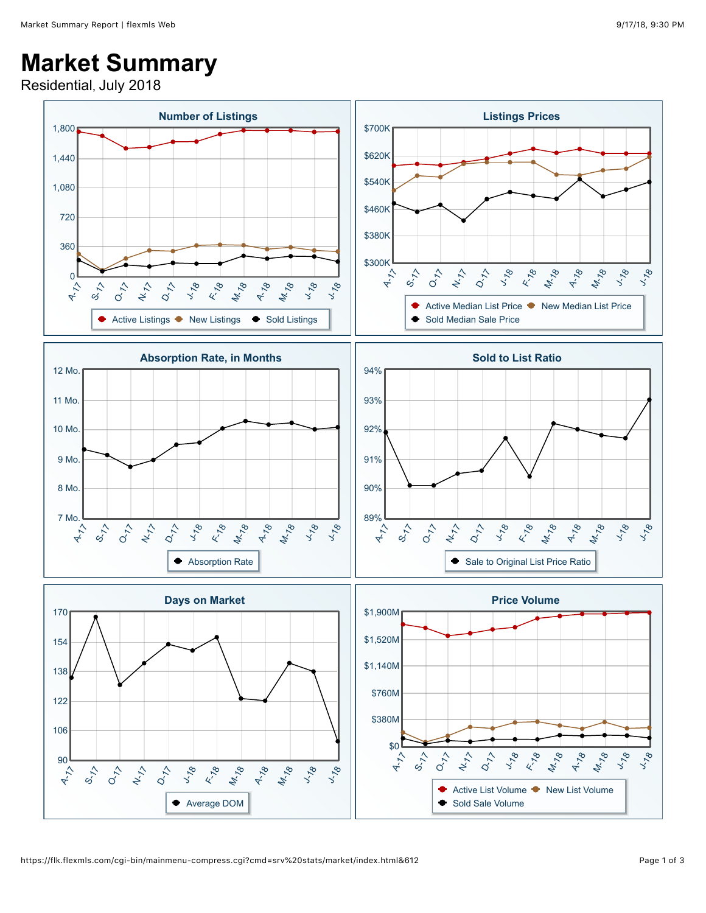## **Market Summary**

Residential, July 2018

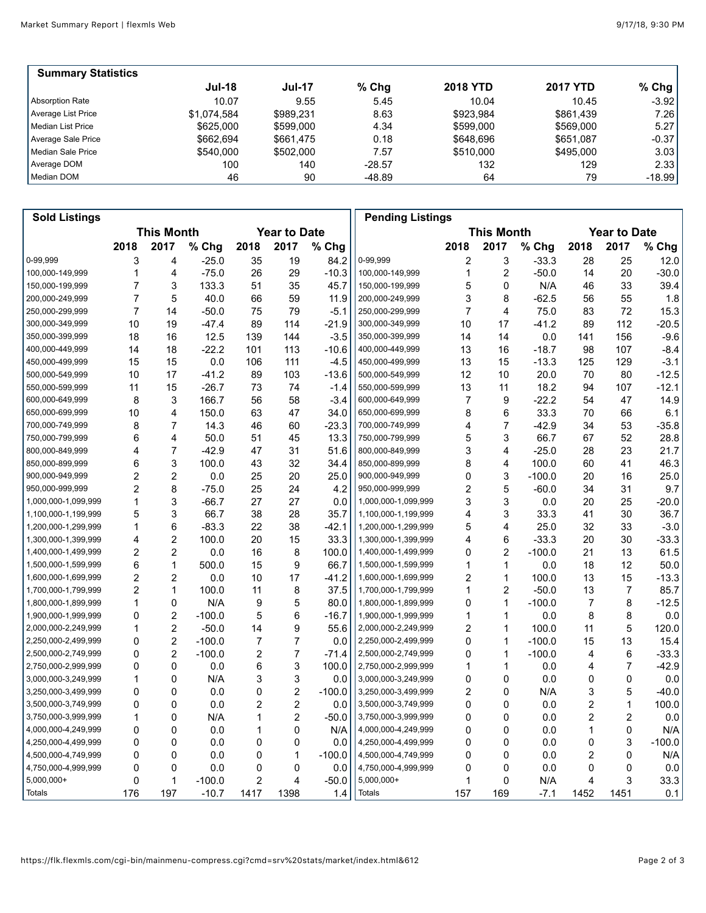| <b>Summary Statistics</b> |               |               |          |                 |                 |           |
|---------------------------|---------------|---------------|----------|-----------------|-----------------|-----------|
|                           | <b>Jul-18</b> | <b>Jul-17</b> | $%$ Chq  | <b>2018 YTD</b> | <b>2017 YTD</b> | % Chg $ $ |
| Absorption Rate           | 10.07         | 9.55          | 5.45     | 10.04           | 10.45           | $-3.92$   |
| Average List Price        | \$1,074,584   | \$989.231     | 8.63     | \$923.984       | \$861.439       | 7.26      |
| Median List Price         | \$625,000     | \$599,000     | 4.34     | \$599,000       | \$569,000       | 5.27      |
| Average Sale Price        | \$662.694     | \$661.475     | 0.18     | \$648,696       | \$651.087       | $-0.37$   |
| Median Sale Price         | \$540,000     | \$502,000     | 7.57     | \$510,000       | \$495,000       | 3.03      |
| Average DOM               | 100           | 140           | $-28.57$ | 132             | 129             | 2.33      |
| Median DOM                | 46            | 90            | $-48.89$ | 64              | 79              | $-18.99$  |

| <b>Sold Listings</b> |                                          |                |          |                |                |          | <b>Pending Listings</b> |                         |                |          |                         |                |          |
|----------------------|------------------------------------------|----------------|----------|----------------|----------------|----------|-------------------------|-------------------------|----------------|----------|-------------------------|----------------|----------|
|                      | <b>This Month</b><br><b>Year to Date</b> |                |          |                |                |          | <b>Year to Date</b>     |                         |                |          |                         |                |          |
|                      | 2018                                     | 2017           | % Chg    | 2018           | 2017           | % Chg    |                         | 2018                    | 2017           | % Chg    | 2018                    | 2017           | % Chg    |
| 0-99,999             | 3                                        | 4              | $-25.0$  | 35             | 19             | 84.2     | 0-99,999                | $\overline{\mathbf{c}}$ | 3              | $-33.3$  | 28                      | 25             | 12.0     |
| 100,000-149,999      | 1                                        | 4              | $-75.0$  | 26             | 29             | $-10.3$  | 100,000-149,999         | 1                       | $\overline{2}$ | $-50.0$  | 14                      | 20             | $-30.0$  |
| 150,000-199,999      | 7                                        | 3              | 133.3    | 51             | 35             | 45.7     | 150,000-199,999         | 5                       | 0              | N/A      | 46                      | 33             | 39.4     |
| 200,000-249,999      | 7                                        | 5              | 40.0     | 66             | 59             | 11.9     | 200,000-249,999         | 3                       | 8              | $-62.5$  | 56                      | 55             | 1.8      |
| 250,000-299,999      | $\overline{7}$                           | 14             | $-50.0$  | 75             | 79             | $-5.1$   | 250,000-299,999         | $\overline{7}$          | $\overline{4}$ | 75.0     | 83                      | 72             | 15.3     |
| 300,000-349,999      | 10                                       | 19             | $-47.4$  | 89             | 114            | $-21.9$  | 300,000-349,999         | 10                      | 17             | $-41.2$  | 89                      | 112            | $-20.5$  |
| 350,000-399,999      | 18                                       | 16             | 12.5     | 139            | 144            | $-3.5$   | 350,000-399,999         | 14                      | 14             | 0.0      | 141                     | 156            | $-9.6$   |
| 400,000-449,999      | 14                                       | 18             | $-22.2$  | 101            | 113            | $-10.6$  | 400,000-449,999         | 13                      | 16             | $-18.7$  | 98                      | 107            | $-8.4$   |
| 450,000-499,999      | 15                                       | 15             | 0.0      | 106            | 111            | $-4.5$   | 450,000-499,999         | 13                      | 15             | $-13.3$  | 125                     | 129            | $-3.1$   |
| 500,000-549,999      | 10                                       | 17             | $-41.2$  | 89             | 103            | $-13.6$  | 500,000-549,999         | 12                      | 10             | 20.0     | 70                      | 80             | $-12.5$  |
| 550,000-599,999      | 11                                       | 15             | $-26.7$  | 73             | 74             | $-1.4$   | 550,000-599,999         | 13                      | 11             | 18.2     | 94                      | 107            | $-12.1$  |
| 600,000-649,999      | 8                                        | 3              | 166.7    | 56             | 58             | $-3.4$   | 600,000-649,999         | $\overline{7}$          | 9              | $-22.2$  | 54                      | 47             | 14.9     |
| 650,000-699,999      | 10                                       | 4              | 150.0    | 63             | 47             | 34.0     | 650,000-699,999         | 8                       | 6              | 33.3     | 70                      | 66             | 6.1      |
| 700,000-749,999      | 8                                        | 7              | 14.3     | 46             | 60             | $-23.3$  | 700,000-749,999         | 4                       | 7              | $-42.9$  | 34                      | 53             | $-35.8$  |
| 750,000-799,999      | 6                                        | 4              | 50.0     | 51             | 45             | 13.3     | 750,000-799,999         | 5                       | 3              | 66.7     | 67                      | 52             | 28.8     |
| 800,000-849,999      | 4                                        | 7              | $-42.9$  | 47             | 31             | 51.6     | 800,000-849,999         | 3                       | 4              | $-25.0$  | 28                      | 23             | 21.7     |
| 850,000-899,999      | 6                                        | 3              | 100.0    | 43             | 32             | 34.4     | 850,000-899,999         | 8                       | 4              | 100.0    | 60                      | 41             | 46.3     |
| 900,000-949,999      | 2                                        | $\overline{2}$ | 0.0      | 25             | 20             | 25.0     | 900,000-949,999         | 0                       | 3              | $-100.0$ | 20                      | 16             | 25.0     |
| 950,000-999,999      | $\overline{c}$                           | 8              | $-75.0$  | 25             | 24             | 4.2      | 950,000-999,999         | $\overline{2}$          | 5              | $-60.0$  | 34                      | 31             | 9.7      |
| 1,000,000-1,099,999  | 1                                        | 3              | $-66.7$  | 27             | 27             | 0.0      | 1,000,000-1,099,999     | 3                       | 3              | 0.0      | 20                      | 25             | $-20.0$  |
| 1,100,000-1,199,999  | 5                                        | 3              | 66.7     | 38             | 28             | 35.7     | 1,100,000-1,199,999     | 4                       | 3              | 33.3     | 41                      | 30             | 36.7     |
| 1,200,000-1,299,999  | 1                                        | 6              | $-83.3$  | 22             | 38             | $-42.1$  | 1,200,000-1,299,999     | 5                       | 4              | 25.0     | 32                      | 33             | $-3.0$   |
| 1,300,000-1,399,999  | 4                                        | 2              | 100.0    | 20             | 15             | 33.3     | 1,300,000-1,399,999     | 4                       | 6              | $-33.3$  | 20                      | 30             | $-33.3$  |
| 1,400,000-1,499,999  | 2                                        | 2              | 0.0      | 16             | 8              | 100.0    | 1,400,000-1,499,999     | 0                       | $\overline{2}$ | $-100.0$ | 21                      | 13             | 61.5     |
| 1,500,000-1,599,999  | 6                                        | 1              | 500.0    | 15             | 9              | 66.7     | 1,500,000-1,599,999     | 1                       | 1              | 0.0      | 18                      | 12             | 50.0     |
| 1,600,000-1,699,999  | 2                                        | 2              | 0.0      | 10             | 17             | $-41.2$  | 1,600,000-1,699,999     | 2                       | 1              | 100.0    | 13                      | 15             | $-13.3$  |
| 1,700,000-1,799,999  | 2                                        | 1              | 100.0    | 11             | 8              | 37.5     | 1,700,000-1,799,999     | 1                       | $\overline{c}$ | $-50.0$  | 13                      | $\overline{7}$ | 85.7     |
| 1,800,000-1,899,999  | 1                                        | 0              | N/A      | 9              | 5              | 80.0     | 1,800,000-1,899,999     | 0                       | 1              | $-100.0$ | $\overline{7}$          | 8              | $-12.5$  |
| 1,900,000-1,999,999  | 0                                        | $\overline{c}$ | $-100.0$ | 5              | 6              | $-16.7$  | 1,900,000-1,999,999     | 1                       | 1              | 0.0      | 8                       | 8              | 0.0      |
| 2,000,000-2,249,999  | 1                                        | 2              | $-50.0$  | 14             | 9              | 55.6     | 2,000,000-2,249,999     | 2                       | 1              | 100.0    | 11                      | 5              | 120.0    |
| 2,250,000-2,499,999  | 0                                        | 2              | $-100.0$ | $\overline{7}$ | $\overline{7}$ | 0.0      | 2,250,000-2,499,999     | 0                       | 1              | $-100.0$ | 15                      | 13             | 15.4     |
| 2,500,000-2,749,999  | 0                                        | $\overline{2}$ | $-100.0$ | 2              | 7              | $-71.4$  | 2,500,000-2,749,999     | 0                       | 1              | $-100.0$ | 4                       | 6              | $-33.3$  |
| 2,750,000-2,999,999  | 0                                        | 0              | 0.0      | 6              | 3              | 100.0    | 2,750,000-2,999,999     | 1                       | 1              | 0.0      | 4                       | $\overline{7}$ | $-42.9$  |
| 3,000,000-3,249,999  | 1                                        | 0              | N/A      | 3              | 3              | 0.0      | 3,000,000-3,249,999     | 0                       | 0              | 0.0      | 0                       | $\mathbf 0$    | 0.0      |
| 3,250,000-3,499,999  | 0                                        | 0              | 0.0      | 0              | $\overline{2}$ | $-100.0$ | 3,250,000-3,499,999     | 2                       | 0              | N/A      | 3                       | 5              | $-40.0$  |
| 3,500,000-3,749,999  | 0                                        | 0              | 0.0      | 2              | $\overline{2}$ | 0.0      | 3,500,000-3,749,999     | 0                       | $\Omega$       | 0.0      | 2                       | 1              | 100.0    |
| 3,750,000-3,999,999  | 1                                        | 0              | N/A      | 1              | $\overline{2}$ | $-50.0$  | 3,750,000-3,999,999     | 0                       | 0              | 0.0      | 2                       | 2              | 0.0      |
| 4,000,000-4,249,999  | 0                                        | 0              | 0.0      | 1              | 0              | N/A      | 4,000,000-4,249,999     | 0                       | $\Omega$       | 0.0      | 1                       | $\mathbf 0$    | N/A      |
| 4,250,000-4,499,999  | 0                                        | 0              | 0.0      | 0              | 0              | 0.0      | 4,250,000-4,499,999     | 0                       | 0              | 0.0      | 0                       | 3              | $-100.0$ |
| 4,500,000-4,749,999  | 0                                        | 0              | 0.0      | 0              | 1              | $-100.0$ | 4,500,000-4,749,999     | 0                       | $\mathbf 0$    | 0.0      | $\overline{\mathbf{c}}$ | $\mathbf 0$    | N/A      |
| 4,750,000-4,999,999  | 0                                        | 0              | 0.0      | 0              | 0              | 0.0      | 4,750,000-4,999,999     | 0                       | 0              | 0.0      | 0                       | $\mathbf 0$    | 0.0      |
| $5,000,000+$         | 0                                        | 1              | $-100.0$ | 2              | 4              | $-50.0$  | $5,000,000+$            | 1                       | 0              | N/A      | 4                       | 3              | 33.3     |
| Totals               | 176                                      | 197            | $-10.7$  | 1417           | 1398           | 1.4      | Totals                  | 157                     | 169            | $-7.1$   | 1452                    | 1451           | 0.1      |